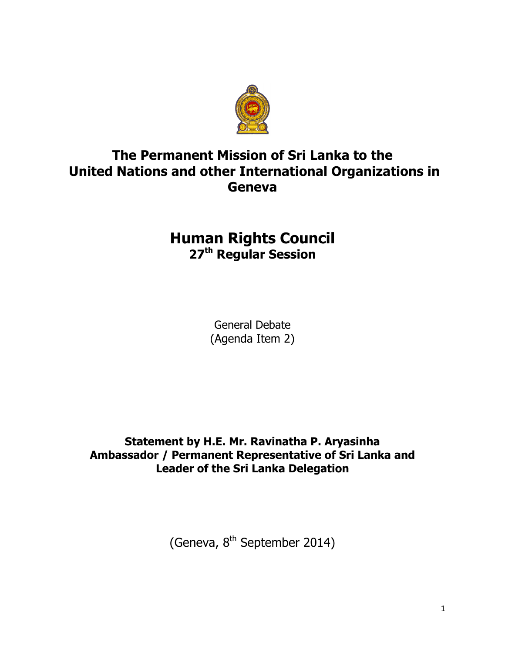

## **The Permanent Mission of Sri Lanka to the United Nations and other International Organizations in Geneva**

## **Human Rights Council 27th Regular Session**

General Debate (Agenda Item 2)

**Statement by H.E. Mr. Ravinatha P. Aryasinha Ambassador / Permanent Representative of Sri Lanka and Leader of the Sri Lanka Delegation** 

(Geneva, 8<sup>th</sup> September 2014)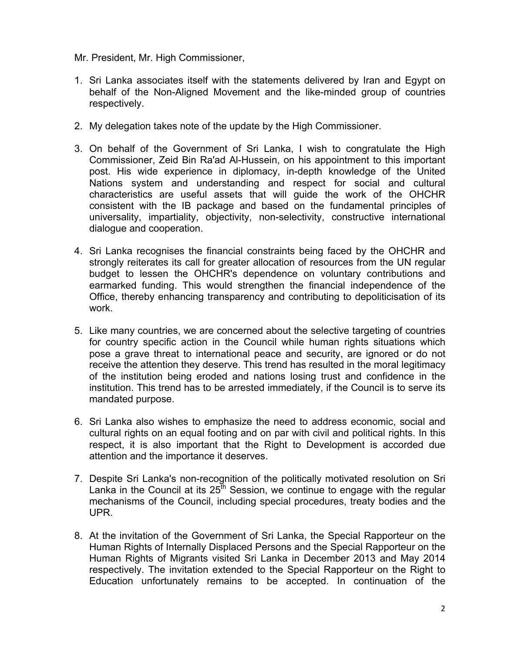Mr. President, Mr. High Commissioner,

- 1. Sri Lanka associates itself with the statements delivered by Iran and Egypt on behalf of the Non-Aligned Movement and the like-minded group of countries respectively.
- 2. My delegation takes note of the update by the High Commissioner.
- 3. On behalf of the Government of Sri Lanka, I wish to congratulate the High Commissioner, Zeid Bin Ra'ad Al-Hussein, on his appointment to this important post. His wide experience in diplomacy, in-depth knowledge of the United Nations system and understanding and respect for social and cultural characteristics are useful assets that will guide the work of the OHCHR consistent with the IB package and based on the fundamental principles of universality, impartiality, objectivity, non-selectivity, constructive international dialogue and cooperation.
- 4. Sri Lanka recognises the financial constraints being faced by the OHCHR and strongly reiterates its call for greater allocation of resources from the UN regular budget to lessen the OHCHR's dependence on voluntary contributions and earmarked funding. This would strengthen the financial independence of the Office, thereby enhancing transparency and contributing to depoliticisation of its work.
- 5. Like many countries, we are concerned about the selective targeting of countries for country specific action in the Council while human rights situations which pose a grave threat to international peace and security, are ignored or do not receive the attention they deserve. This trend has resulted in the moral legitimacy of the institution being eroded and nations losing trust and confidence in the institution. This trend has to be arrested immediately, if the Council is to serve its mandated purpose.
- 6. Sri Lanka also wishes to emphasize the need to address economic, social and cultural rights on an equal footing and on par with civil and political rights. In this respect, it is also important that the Right to Development is accorded due attention and the importance it deserves.
- 7. Despite Sri Lanka's non-recognition of the politically motivated resolution on Sri Lanka in the Council at its  $25<sup>th</sup>$  Session, we continue to engage with the regular mechanisms of the Council, including special procedures, treaty bodies and the UPR.
- 8. At the invitation of the Government of Sri Lanka, the Special Rapporteur on the Human Rights of Internally Displaced Persons and the Special Rapporteur on the Human Rights of Migrants visited Sri Lanka in December 2013 and May 2014 respectively. The invitation extended to the Special Rapporteur on the Right to Education unfortunately remains to be accepted. In continuation of the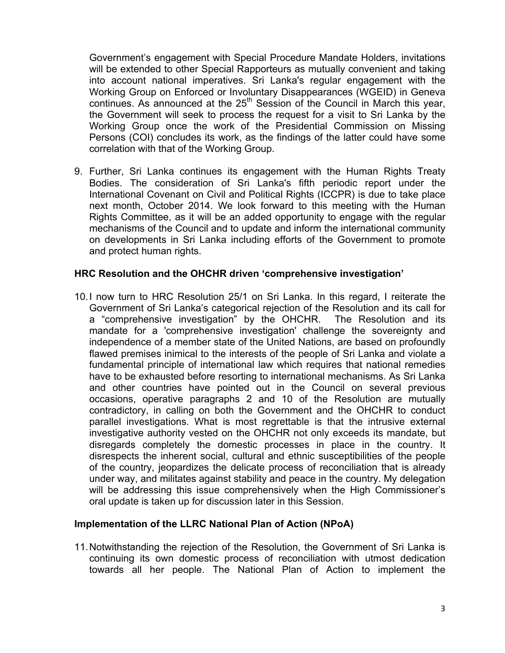Government's engagement with Special Procedure Mandate Holders, invitations will be extended to other Special Rapporteurs as mutually convenient and taking into account national imperatives. Sri Lanka's regular engagement with the Working Group on Enforced or Involuntary Disappearances (WGEID) in Geneva continues. As announced at the  $25<sup>th</sup>$  Session of the Council in March this year, the Government will seek to process the request for a visit to Sri Lanka by the Working Group once the work of the Presidential Commission on Missing Persons (COI) concludes its work, as the findings of the latter could have some correlation with that of the Working Group.

9. Further, Sri Lanka continues its engagement with the Human Rights Treaty Bodies. The consideration of Sri Lanka's fifth periodic report under the International Covenant on Civil and Political Rights (ICCPR) is due to take place next month, October 2014. We look forward to this meeting with the Human Rights Committee, as it will be an added opportunity to engage with the regular mechanisms of the Council and to update and inform the international community on developments in Sri Lanka including efforts of the Government to promote and protect human rights.

## **HRC Resolution and the OHCHR driven 'comprehensive investigation'**

10.I now turn to HRC Resolution 25/1 on Sri Lanka. In this regard, I reiterate the Government of Sri Lanka's categorical rejection of the Resolution and its call for a "comprehensive investigation" by the OHCHR. The Resolution and its mandate for a 'comprehensive investigation' challenge the sovereignty and independence of a member state of the United Nations, are based on profoundly flawed premises inimical to the interests of the people of Sri Lanka and violate a fundamental principle of international law which requires that national remedies have to be exhausted before resorting to international mechanisms. As Sri Lanka and other countries have pointed out in the Council on several previous occasions, operative paragraphs 2 and 10 of the Resolution are mutually contradictory, in calling on both the Government and the OHCHR to conduct parallel investigations. What is most regrettable is that the intrusive external investigative authority vested on the OHCHR not only exceeds its mandate, but disregards completely the domestic processes in place in the country. It disrespects the inherent social, cultural and ethnic susceptibilities of the people of the country, jeopardizes the delicate process of reconciliation that is already under way, and militates against stability and peace in the country. My delegation will be addressing this issue comprehensively when the High Commissioner's oral update is taken up for discussion later in this Session.

## **Implementation of the LLRC National Plan of Action (NPoA)**

11.Notwithstanding the rejection of the Resolution, the Government of Sri Lanka is continuing its own domestic process of reconciliation with utmost dedication towards all her people. The National Plan of Action to implement the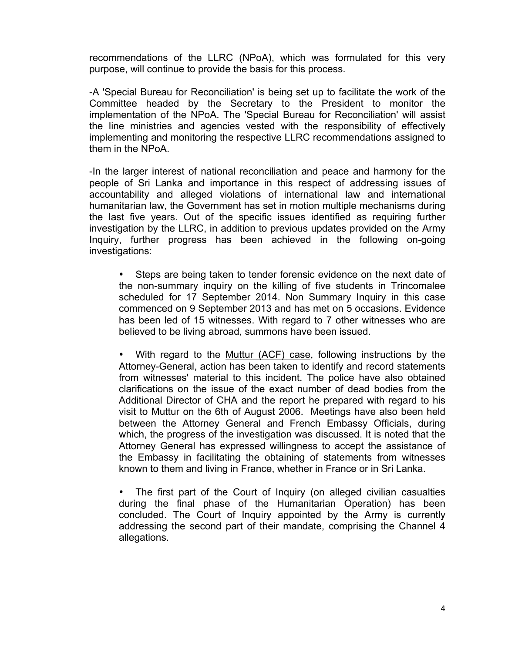recommendations of the LLRC (NPoA), which was formulated for this very purpose, will continue to provide the basis for this process.

-A 'Special Bureau for Reconciliation' is being set up to facilitate the work of the Committee headed by the Secretary to the President to monitor the implementation of the NPoA. The 'Special Bureau for Reconciliation' will assist the line ministries and agencies vested with the responsibility of effectively implementing and monitoring the respective LLRC recommendations assigned to them in the NPoA.

-In the larger interest of national reconciliation and peace and harmony for the people of Sri Lanka and importance in this respect of addressing issues of accountability and alleged violations of international law and international humanitarian law, the Government has set in motion multiple mechanisms during the last five years. Out of the specific issues identified as requiring further investigation by the LLRC, in addition to previous updates provided on the Army Inquiry, further progress has been achieved in the following on-going investigations:

Steps are being taken to tender forensic evidence on the next date of the non-summary inquiry on the killing of five students in Trincomalee scheduled for 17 September 2014. Non Summary Inquiry in this case commenced on 9 September 2013 and has met on 5 occasions. Evidence has been led of 15 witnesses. With regard to 7 other witnesses who are believed to be living abroad, summons have been issued.

• With regard to the Muttur (ACF) case, following instructions by the Attorney-General, action has been taken to identify and record statements from witnesses' material to this incident. The police have also obtained clarifications on the issue of the exact number of dead bodies from the Additional Director of CHA and the report he prepared with regard to his visit to Muttur on the 6th of August 2006. Meetings have also been held between the Attorney General and French Embassy Officials, during which, the progress of the investigation was discussed. It is noted that the Attorney General has expressed willingness to accept the assistance of the Embassy in facilitating the obtaining of statements from witnesses known to them and living in France, whether in France or in Sri Lanka.

The first part of the Court of Inquiry (on alleged civilian casualties during the final phase of the Humanitarian Operation) has been concluded. The Court of Inquiry appointed by the Army is currently addressing the second part of their mandate, comprising the Channel 4 allegations.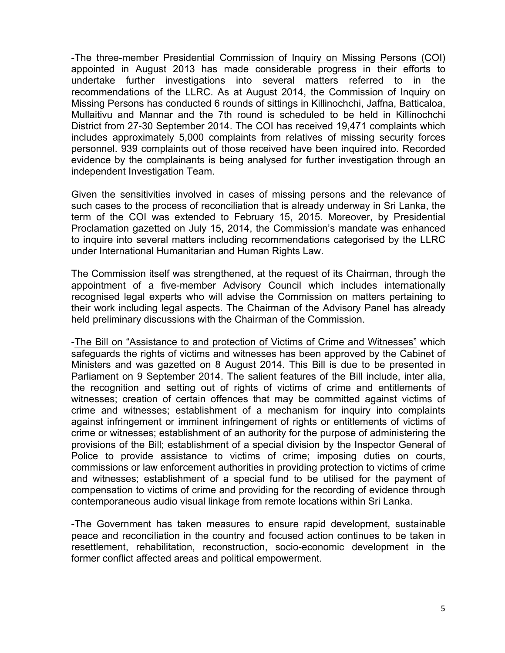-The three-member Presidential Commission of Inquiry on Missing Persons (COI) appointed in August 2013 has made considerable progress in their efforts to undertake further investigations into several matters referred to in the recommendations of the LLRC. As at August 2014, the Commission of Inquiry on Missing Persons has conducted 6 rounds of sittings in Killinochchi, Jaffna, Batticaloa, Mullaitivu and Mannar and the 7th round is scheduled to be held in Killinochchi District from 27-30 September 2014. The COI has received 19,471 complaints which includes approximately 5,000 complaints from relatives of missing security forces personnel. 939 complaints out of those received have been inquired into. Recorded evidence by the complainants is being analysed for further investigation through an independent Investigation Team.

Given the sensitivities involved in cases of missing persons and the relevance of such cases to the process of reconciliation that is already underway in Sri Lanka, the term of the COI was extended to February 15, 2015. Moreover, by Presidential Proclamation gazetted on July 15, 2014, the Commission's mandate was enhanced to inquire into several matters including recommendations categorised by the LLRC under International Humanitarian and Human Rights Law.

The Commission itself was strengthened, at the request of its Chairman, through the appointment of a five-member Advisory Council which includes internationally recognised legal experts who will advise the Commission on matters pertaining to their work including legal aspects. The Chairman of the Advisory Panel has already held preliminary discussions with the Chairman of the Commission.

-The Bill on "Assistance to and protection of Victims of Crime and Witnesses" which safeguards the rights of victims and witnesses has been approved by the Cabinet of Ministers and was gazetted on 8 August 2014. This Bill is due to be presented in Parliament on 9 September 2014. The salient features of the Bill include, inter alia, the recognition and setting out of rights of victims of crime and entitlements of witnesses; creation of certain offences that may be committed against victims of crime and witnesses; establishment of a mechanism for inquiry into complaints against infringement or imminent infringement of rights or entitlements of victims of crime or witnesses; establishment of an authority for the purpose of administering the provisions of the Bill; establishment of a special division by the Inspector General of Police to provide assistance to victims of crime; imposing duties on courts, commissions or law enforcement authorities in providing protection to victims of crime and witnesses; establishment of a special fund to be utilised for the payment of compensation to victims of crime and providing for the recording of evidence through contemporaneous audio visual linkage from remote locations within Sri Lanka.

-The Government has taken measures to ensure rapid development, sustainable peace and reconciliation in the country and focused action continues to be taken in resettlement, rehabilitation, reconstruction, socio-economic development in the former conflict affected areas and political empowerment.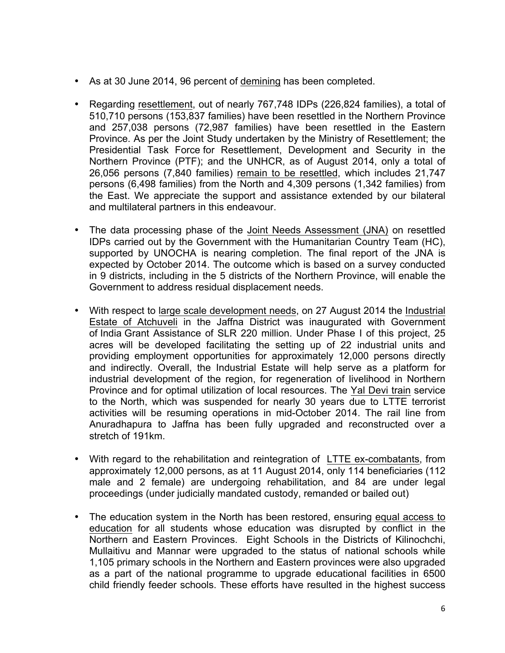- As at 30 June 2014, 96 percent of demining has been completed.
- Regarding resettlement, out of nearly 767,748 IDPs (226,824 families), a total of 510,710 persons (153,837 families) have been resettled in the Northern Province and 257,038 persons (72,987 families) have been resettled in the Eastern Province. As per the Joint Study undertaken by the Ministry of Resettlement; the Presidential Task Force for Resettlement, Development and Security in the Northern Province (PTF); and the UNHCR, as of August 2014, only a total of 26,056 persons (7,840 families) remain to be resettled, which includes 21,747 persons (6,498 families) from the North and 4,309 persons (1,342 families) from the East. We appreciate the support and assistance extended by our bilateral and multilateral partners in this endeavour.
- The data processing phase of the Joint Needs Assessment (JNA) on resettled IDPs carried out by the Government with the Humanitarian Country Team (HC), supported by UNOCHA is nearing completion. The final report of the JNA is expected by October 2014. The outcome which is based on a survey conducted in 9 districts, including in the 5 districts of the Northern Province, will enable the Government to address residual displacement needs.
- With respect to large scale development needs, on 27 August 2014 the Industrial Estate of Atchuveli in the Jaffna District was inaugurated with Government of India Grant Assistance of SLR 220 million. Under Phase I of this project, 25 acres will be developed facilitating the setting up of 22 industrial units and providing employment opportunities for approximately 12,000 persons directly and indirectly. Overall, the Industrial Estate will help serve as a platform for industrial development of the region, for regeneration of livelihood in Northern Province and for optimal utilization of local resources. The Yal Devi train service to the North, which was suspended for nearly 30 years due to LTTE terrorist activities will be resuming operations in mid-October 2014. The rail line from Anuradhapura to Jaffna has been fully upgraded and reconstructed over a stretch of 191km.
- With regard to the rehabilitation and reintegration of LTTE ex-combatants, from approximately 12,000 persons, as at 11 August 2014, only 114 beneficiaries (112 male and 2 female) are undergoing rehabilitation, and 84 are under legal proceedings (under judicially mandated custody, remanded or bailed out)
- The education system in the North has been restored, ensuring equal access to education for all students whose education was disrupted by conflict in the Northern and Eastern Provinces. Eight Schools in the Districts of Kilinochchi, Mullaitivu and Mannar were upgraded to the status of national schools while 1,105 primary schools in the Northern and Eastern provinces were also upgraded as a part of the national programme to upgrade educational facilities in 6500 child friendly feeder schools. These efforts have resulted in the highest success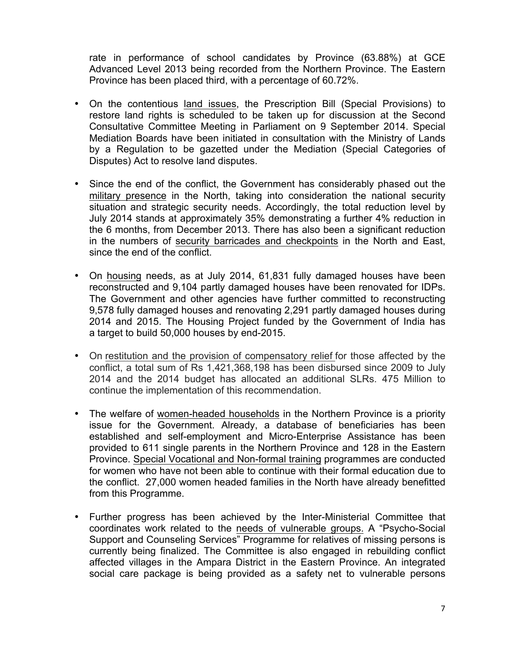rate in performance of school candidates by Province (63.88%) at GCE Advanced Level 2013 being recorded from the Northern Province. The Eastern Province has been placed third, with a percentage of 60.72%.

- On the contentious land issues, the Prescription Bill (Special Provisions) to restore land rights is scheduled to be taken up for discussion at the Second Consultative Committee Meeting in Parliament on 9 September 2014. Special Mediation Boards have been initiated in consultation with the Ministry of Lands by a Regulation to be gazetted under the Mediation (Special Categories of Disputes) Act to resolve land disputes.
- Since the end of the conflict, the Government has considerably phased out the military presence in the North, taking into consideration the national security situation and strategic security needs. Accordingly, the total reduction level by July 2014 stands at approximately 35% demonstrating a further 4% reduction in the 6 months, from December 2013. There has also been a significant reduction in the numbers of security barricades and checkpoints in the North and East, since the end of the conflict.
- On housing needs, as at July 2014, 61,831 fully damaged houses have been reconstructed and 9,104 partly damaged houses have been renovated for IDPs. The Government and other agencies have further committed to reconstructing 9,578 fully damaged houses and renovating 2,291 partly damaged houses during 2014 and 2015. The Housing Project funded by the Government of India has a target to build 50,000 houses by end-2015.
- On restitution and the provision of compensatory relief for those affected by the conflict, a total sum of Rs 1,421,368,198 has been disbursed since 2009 to July 2014 and the 2014 budget has allocated an additional SLRs. 475 Million to continue the implementation of this recommendation.
- The welfare of women-headed households in the Northern Province is a priority issue for the Government. Already, a database of beneficiaries has been established and self-employment and Micro-Enterprise Assistance has been provided to 611 single parents in the Northern Province and 128 in the Eastern Province. Special Vocational and Non-formal training programmes are conducted for women who have not been able to continue with their formal education due to the conflict. 27,000 women headed families in the North have already benefitted from this Programme.
- Further progress has been achieved by the Inter-Ministerial Committee that coordinates work related to the needs of vulnerable groups. A "Psycho-Social Support and Counseling Services" Programme for relatives of missing persons is currently being finalized. The Committee is also engaged in rebuilding conflict affected villages in the Ampara District in the Eastern Province. An integrated social care package is being provided as a safety net to vulnerable persons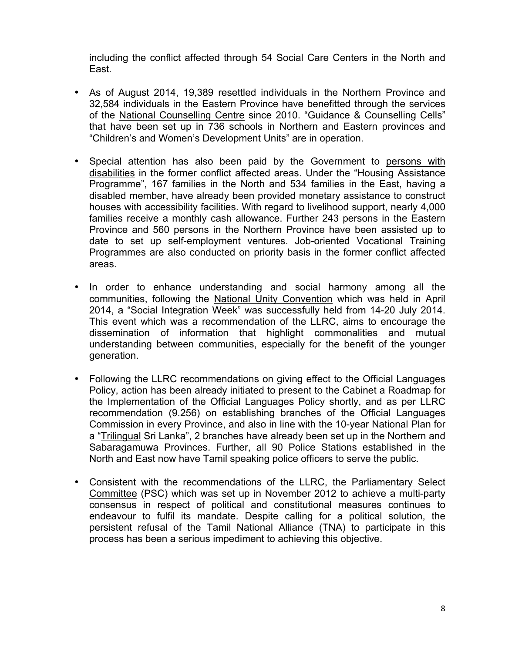including the conflict affected through 54 Social Care Centers in the North and East.

- As of August 2014, 19,389 resettled individuals in the Northern Province and 32,584 individuals in the Eastern Province have benefitted through the services of the National Counselling Centre since 2010. "Guidance & Counselling Cells" that have been set up in 736 schools in Northern and Eastern provinces and "Children's and Women's Development Units" are in operation.
- Special attention has also been paid by the Government to persons with disabilities in the former conflict affected areas. Under the "Housing Assistance Programme", 167 families in the North and 534 families in the East, having a disabled member, have already been provided monetary assistance to construct houses with accessibility facilities. With regard to livelihood support, nearly 4,000 families receive a monthly cash allowance. Further 243 persons in the Eastern Province and 560 persons in the Northern Province have been assisted up to date to set up self-employment ventures. Job-oriented Vocational Training Programmes are also conducted on priority basis in the former conflict affected areas.
- In order to enhance understanding and social harmony among all the communities, following the National Unity Convention which was held in April 2014, a "Social Integration Week" was successfully held from 14-20 July 2014. This event which was a recommendation of the LLRC, aims to encourage the dissemination of information that highlight commonalities and mutual understanding between communities, especially for the benefit of the younger generation.
- Following the LLRC recommendations on giving effect to the Official Languages Policy, action has been already initiated to present to the Cabinet a Roadmap for the Implementation of the Official Languages Policy shortly, and as per LLRC recommendation (9.256) on establishing branches of the Official Languages Commission in every Province, and also in line with the 10-year National Plan for a "Trilingual Sri Lanka", 2 branches have already been set up in the Northern and Sabaragamuwa Provinces. Further, all 90 Police Stations established in the North and East now have Tamil speaking police officers to serve the public.
- Consistent with the recommendations of the LLRC, the Parliamentary Select Committee (PSC) which was set up in November 2012 to achieve a multi-party consensus in respect of political and constitutional measures continues to endeavour to fulfil its mandate. Despite calling for a political solution, the persistent refusal of the Tamil National Alliance (TNA) to participate in this process has been a serious impediment to achieving this objective.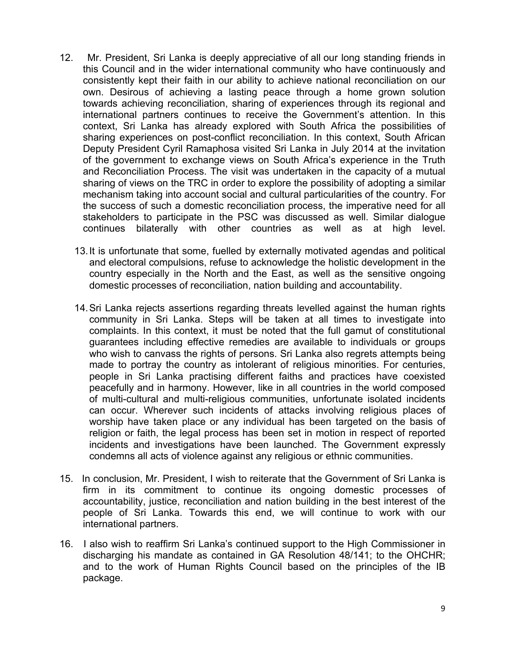- 12. Mr. President, Sri Lanka is deeply appreciative of all our long standing friends in this Council and in the wider international community who have continuously and consistently kept their faith in our ability to achieve national reconciliation on our own. Desirous of achieving a lasting peace through a home grown solution towards achieving reconciliation, sharing of experiences through its regional and international partners continues to receive the Government's attention. In this context, Sri Lanka has already explored with South Africa the possibilities of sharing experiences on post-conflict reconciliation. In this context, South African Deputy President Cyril Ramaphosa visited Sri Lanka in July 2014 at the invitation of the government to exchange views on South Africa's experience in the Truth and Reconciliation Process. The visit was undertaken in the capacity of a mutual sharing of views on the TRC in order to explore the possibility of adopting a similar mechanism taking into account social and cultural particularities of the country. For the success of such a domestic reconciliation process, the imperative need for all stakeholders to participate in the PSC was discussed as well. Similar dialogue continues bilaterally with other countries as well as at high level**.** 
	- 13.It is unfortunate that some, fuelled by externally motivated agendas and political and electoral compulsions, refuse to acknowledge the holistic development in the country especially in the North and the East, as well as the sensitive ongoing domestic processes of reconciliation, nation building and accountability.
	- 14.Sri Lanka rejects assertions regarding threats levelled against the human rights community in Sri Lanka. Steps will be taken at all times to investigate into complaints. In this context, it must be noted that the full gamut of constitutional guarantees including effective remedies are available to individuals or groups who wish to canvass the rights of persons. Sri Lanka also regrets attempts being made to portray the country as intolerant of religious minorities. For centuries, people in Sri Lanka practising different faiths and practices have coexisted peacefully and in harmony. However, like in all countries in the world composed of multi-cultural and multi-religious communities, unfortunate isolated incidents can occur. Wherever such incidents of attacks involving religious places of worship have taken place or any individual has been targeted on the basis of religion or faith, the legal process has been set in motion in respect of reported incidents and investigations have been launched. The Government expressly condemns all acts of violence against any religious or ethnic communities.
- 15. In conclusion, Mr. President, I wish to reiterate that the Government of Sri Lanka is firm in its commitment to continue its ongoing domestic processes of accountability, justice, reconciliation and nation building in the best interest of the people of Sri Lanka. Towards this end, we will continue to work with our international partners.
- 16. I also wish to reaffirm Sri Lanka's continued support to the High Commissioner in discharging his mandate as contained in GA Resolution 48/141; to the OHCHR; and to the work of Human Rights Council based on the principles of the IB package.